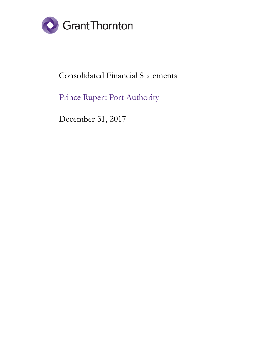

# Consolidated Financial Statements

Prince Rupert Port Authority

December 31, 2017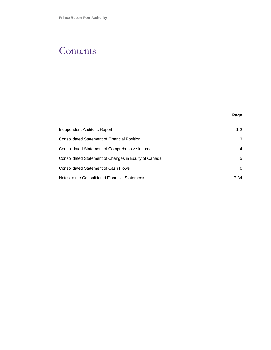# **Contents**

| Independent Auditor's Report                          | $1 - 2$        |
|-------------------------------------------------------|----------------|
| <b>Consolidated Statement of Financial Position</b>   | 3              |
| Consolidated Statement of Comprehensive Income        | $\overline{4}$ |
| Consolidated Statement of Changes in Equity of Canada | 5              |
| Consolidated Statement of Cash Flows                  | 6              |
| Notes to the Consolidated Financial Statements        | 7-34           |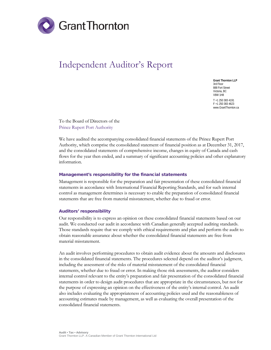

# Independent Auditor's Report

**Grant Thornton LLP** 3rd Floor 888 Fort Street Victoria, BC V8W 1H8 T +1 250 383 4191 F +1 250 383 4623 www.GrantThornton.ca

To the Board of Directors of the Prince Rupert Port Authority

We have audited the accompanying consolidated financial statements of the Prince Rupert Port Authority, which comprise the consolidated statement of financial position as at December 31, 2017, and the consolidated statements of comprehensive income, changes in equity of Canada and cash flows for the year then ended, and a summary of significant accounting policies and other explanatory information.

#### Management's responsibility for the financial statements

Management is responsible for the preparation and fair presentation of these consolidated financial statements in accordance with International Financial Reporting Standards, and for such internal control as management determines is necessary to enable the preparation of consolidated financial statements that are free from material misstatement, whether due to fraud or error.

#### Auditors' responsibility

Our responsibility is to express an opinion on these consolidated financial statements based on our audit. We conducted our audit in accordance with Canadian generally accepted auditing standards. Those standards require that we comply with ethical requirements and plan and perform the audit to obtain reasonable assurance about whether the consolidated financial statements are free from material misstatement.

An audit involves performing procedures to obtain audit evidence about the amounts and disclosures in the consolidated financial statements. The procedures selected depend on the auditor's judgment, including the assessment of the risks of material misstatement of the consolidated financial statements, whether due to fraud or error. In making those risk assessments, the auditor considers internal control relevant to the entity's preparation and fair presentation of the consolidated financial statements in order to design audit procedures that are appropriate in the circumstances, but not for the purpose of expressing an opinion on the effectiveness of the entity's internal control. An audit also includes evaluating the appropriateness of accounting policies used and the reasonableness of accounting estimates made by management, as well as evaluating the overall presentation of the consolidated financial statements.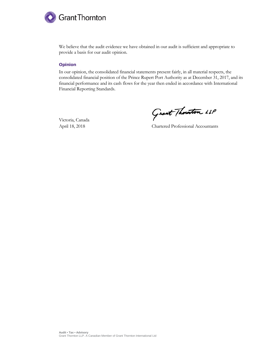

We believe that the audit evidence we have obtained in our audit is sufficient and appropriate to provide a basis for our audit opinion.

#### Opinion

In our opinion, the consolidated financial statements present fairly, in all material respects, the consolidated financial position of the Prince Rupert Port Authority as at December 31, 2017, and its financial performance and its cash flows for the year then ended in accordance with International Financial Reporting Standards.

Victoria, Canada

Grant Thouston LLP

April 18, 2018 Chartered Professional Accountants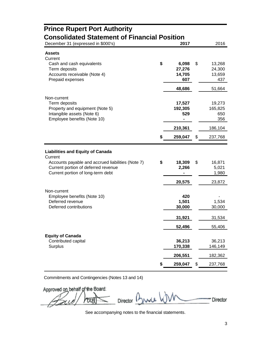| <b>Prince Rupert Port Authority</b>                                                                                           |                                        |                                         |
|-------------------------------------------------------------------------------------------------------------------------------|----------------------------------------|-----------------------------------------|
| <b>Consolidated Statement of Financial Position</b><br>December 31 (expressed in \$000's)                                     | 2017                                   | 2016                                    |
| <b>Assets</b>                                                                                                                 |                                        |                                         |
| Current<br>Cash and cash equivalents<br>Term deposits<br>Accounts receivable (Note 4)<br>Prepaid expenses                     | \$<br>6,098<br>27,276<br>14,705<br>607 | \$<br>13,268<br>24,300<br>13,659<br>437 |
|                                                                                                                               | 48,686                                 | 51,664                                  |
| Non-current<br>Term deposits<br>Property and equipment (Note 5)<br>Intangible assets (Note 6)<br>Employee benefits (Note 10)  | 17,527<br>192,305<br>529               | 19,273<br>165,825<br>650<br>356         |
|                                                                                                                               | 210,361                                | 186,104                                 |
|                                                                                                                               | 259,047                                | \$<br>237,768                           |
| <b>Liabilities and Equity of Canada</b><br>Current                                                                            |                                        |                                         |
| Accounts payable and accrued liabilities (Note 7)<br>Current portion of deferred revenue<br>Current portion of long-term debt | \$<br>18,309<br>2,266                  | \$<br>16,871<br>5,021<br>1,980          |
|                                                                                                                               | 20,575                                 | 23,872                                  |
| Non-current<br>Employee benefits (Note 10)<br>Deferred revenue<br>Deferred contributions                                      | 420<br>1,501<br>30,000                 | 1,534<br>30,000                         |
|                                                                                                                               | 31,921                                 | 31,534                                  |
|                                                                                                                               | 52,496                                 | 55,406                                  |
| <b>Equity of Canada</b><br>Contributed capital<br>Surplus                                                                     | 36,213<br>170,338                      | 36,213<br>146,149                       |
|                                                                                                                               | 206,551                                | 182,362                                 |
|                                                                                                                               | \$<br>259,047                          | \$<br>237,768                           |

Commitments and Contingencies (Notes 13 and 14)

Approved on behalf of the Board: Bul Director rtitl Director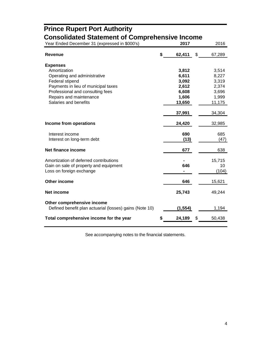| <b>Prince Rupert Port Authority</b><br><b>Consolidated Statement of Comprehensive Income</b>                                                                                                                      |                                                                        |                                                                        |
|-------------------------------------------------------------------------------------------------------------------------------------------------------------------------------------------------------------------|------------------------------------------------------------------------|------------------------------------------------------------------------|
| Year Ended December 31 (expressed in \$000's)                                                                                                                                                                     | 2017                                                                   | 2016                                                                   |
| Revenue                                                                                                                                                                                                           | \$<br>62,411                                                           | \$<br>67,289                                                           |
| <b>Expenses</b><br>Amortization<br>Operating and administrative<br>Federal stipend<br>Payments in lieu of municipal taxes<br>Professional and consulting fees<br>Repairs and maintenance<br>Salaries and benefits | 3,812<br>6,611<br>3,092<br>2,612<br>6,608<br>1,606<br>13,650<br>37,991 | 3,514<br>8,227<br>3,319<br>2,374<br>3,696<br>1,999<br>11,175<br>34,304 |
| Income from operations                                                                                                                                                                                            | 24,420                                                                 | 32,985                                                                 |
| Interest income<br>Interest on long-term debt                                                                                                                                                                     | 690<br>(13)                                                            | 685<br>(47)                                                            |
| Net finance income                                                                                                                                                                                                | 677                                                                    | 638                                                                    |
| Amortization of deferred contributions<br>Gain on sale of property and equipment<br>Loss on foreign exchange                                                                                                      | 646                                                                    | 15,715<br>10<br>(104)                                                  |
| <b>Other income</b>                                                                                                                                                                                               | 646                                                                    | 15,621                                                                 |
| <b>Net income</b>                                                                                                                                                                                                 | 25,743                                                                 | 49,244                                                                 |
| Other comprehensive income<br>Defined benefit plan actuarial (losses) gains (Note 10)                                                                                                                             | (1, 554)                                                               | 1,194                                                                  |
| Total comprehensive income for the year                                                                                                                                                                           | \$<br>24,189                                                           | \$<br>50,438                                                           |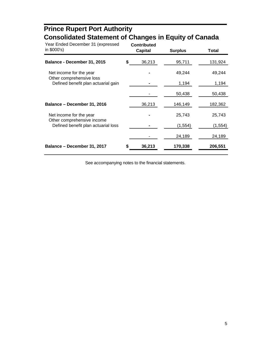| <b>Consolidated Statement of Changes in Equity of Canada</b><br>Year Ended December 31 (expressed<br><b>Contributed</b> |   |                |                |              |
|-------------------------------------------------------------------------------------------------------------------------|---|----------------|----------------|--------------|
| in $$000's)$                                                                                                            |   | <b>Capital</b> | <b>Surplus</b> | <b>Total</b> |
| Balance - December 31, 2015                                                                                             | S | 36,213         | 95,711         | 131,924      |
| Net income for the year                                                                                                 |   |                | 49,244         | 49,244       |
| Other comprehensive loss<br>Defined benefit plan actuarial gain                                                         |   |                | 1,194          | 1,194        |
|                                                                                                                         |   |                | 50,438         | 50,438       |
| Balance – December 31, 2016                                                                                             |   | 36,213         | 146,149        | 182,362      |
| Net income for the year                                                                                                 |   |                | 25,743         | 25,743       |
| Other comprehensive income<br>Defined benefit plan actuarial loss                                                       |   |                | (1, 554)       | (1, 554)     |
|                                                                                                                         |   |                | 24,189         | 24,189       |
| Balance - December 31, 2017                                                                                             |   | 36,213         | 170,338        | 206,551      |

# **Prince Rupert Port Authority**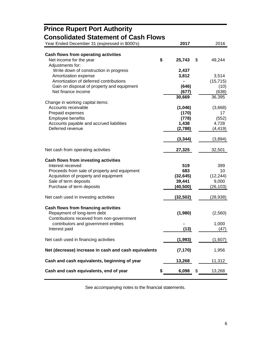| <b>Prince Rupert Port Authority</b><br><b>Consolidated Statement of Cash Flows</b>                                       |                           |                            |
|--------------------------------------------------------------------------------------------------------------------------|---------------------------|----------------------------|
| Year Ended December 31 (expressed in \$000's)                                                                            | 2017                      | 2016                       |
| Cash flows from operating activities                                                                                     |                           |                            |
| Net income for the year<br>Adjustments for:                                                                              | \$<br>25,743              | \$<br>49,244               |
| Write down of construction in progress<br>Amortization expense                                                           | 2,437<br>3,812            | 3,514                      |
| Amortization of deferred contributions<br>Gain on disposal of property and equipment<br>Net finance income               | (646)<br>(677)            | (15, 715)<br>(10)<br>(638) |
| Change in working capital items:                                                                                         | 30,669                    | 36,395                     |
| Accounts receivable<br>Prepaid expenses<br>Employee benefits                                                             | (1,046)<br>(170)<br>(778) | (3,668)<br>17<br>(552)     |
| Accounts payable and accrued liabilities<br>Deferred revenue                                                             | 1,438<br>(2,788)          | 4,728<br>(4, 419)          |
|                                                                                                                          | (3, 344)                  | (3,894)                    |
| Net cash from operating activities                                                                                       | 27,325                    | 32,501                     |
| Cash flows from investing activities<br>Interest received                                                                | 519                       | 399                        |
| Proceeds from sale of property and equipment<br>Acquisition of property and equipment                                    | 683<br>(32, 645)          | 10<br>(12, 244)            |
| Sale of term deposits<br>Purchase of term deposits                                                                       | 39,441<br>(40,500)        | 9,000<br>(26, 103)         |
| Net cash used in investing activities                                                                                    | (32, 502)                 | (28, 938)                  |
| <b>Cash flows from financing activities</b><br>Repayment of long-term debt<br>Contributions received from non-government | (1,980)                   | (2,560)                    |
| contributors and government entities<br>Interest paid                                                                    | (13)                      | 1,000<br>(47)              |
| Net cash used in financing activities                                                                                    | (1,993)                   | (1,607)                    |
| Net (decrease) increase in cash and cash equivalents                                                                     | (7, 170)                  | 1,956                      |
| Cash and cash equivalents, beginning of year                                                                             | 13,268                    | 11,312                     |
| Cash and cash equivalents, end of year                                                                                   | 6,098                     | \$<br>13,268               |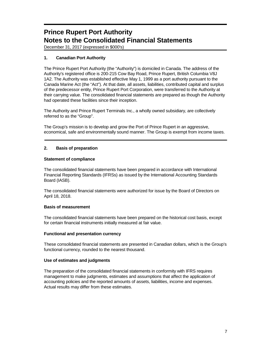December 31, 2017 (expressed in \$000's)

# **1. Canadian Port Authority**

The Prince Rupert Port Authority (the "Authority") is domiciled in Canada. The address of the Authority's registered office is 200-215 Cow Bay Road, Prince Rupert, British Columbia V8J 1A2. The Authority was established effective May 1, 1999 as a port authority pursuant to the Canada Marine Act (the "Act"). At that date, all assets, liabilities, contributed capital and surplus of the predecessor entity, Prince Rupert Port Corporation, were transferred to the Authority at their carrying value. The consolidated financial statements are prepared as though the Authority had operated these facilities since their inception.

The Authority and Prince Rupert Terminals Inc., a wholly owned subsidiary, are collectively referred to as the "Group".

The Group's mission is to develop and grow the Port of Prince Rupert in an aggressive, economical, safe and environmentally sound manner. The Group is exempt from income taxes.

# **2. Basis of preparation**

# **Statement of compliance**

The consolidated financial statements have been prepared in accordance with International Financial Reporting Standards (IFRSs) as issued by the International Accounting Standards Board (IASB).

The consolidated financial statements were authorized for issue by the Board of Directors on April 18, 2018.

# **Basis of measurement**

The consolidated financial statements have been prepared on the historical cost basis, except for certain financial instruments initially measured at fair value.

# **Functional and presentation currency**

These consolidated financial statements are presented in Canadian dollars, which is the Group's functional currency, rounded to the nearest thousand.

### **Use of estimates and judgments**

The preparation of the consolidated financial statements in conformity with IFRS requires management to make judgments, estimates and assumptions that affect the application of accounting policies and the reported amounts of assets, liabilities, income and expenses. Actual results may differ from these estimates.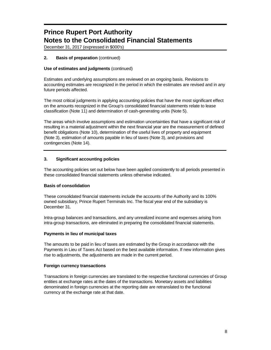December 31, 2017 (expressed in \$000's)

# **2. Basis of preparation** (continued)

# **Use of estimates and judgments** (continued)

Estimates and underlying assumptions are reviewed on an ongoing basis. Revisions to accounting estimates are recognized in the period in which the estimates are revised and in any future periods affected.

The most critical judgments in applying accounting policies that have the most significant effect on the amounts recognized in the Group's consolidated financial statements relate to lease classification (Note 11) and determination of cash-generating units (Note 5).

The areas which involve assumptions and estimation uncertainties that have a significant risk of resulting in a material adjustment within the next financial year are the measurement of defined benefit obligations (Note 10), determination of the useful lives of property and equipment (Note 3), estimation of amounts payable in lieu of taxes (Note 3), and provisions and contingencies (Note 14).

# **3. Significant accounting policies**

The accounting policies set out below have been applied consistently to all periods presented in these consolidated financial statements unless otherwise indicated.

# **Basis of consolidation**

These consolidated financial statements include the accounts of the Authority and its 100% owned subsidiary, Prince Rupert Terminals Inc. The fiscal year end of the subsidiary is December 31.

Intra-group balances and transactions, and any unrealized income and expenses arising from intra-group transactions, are eliminated in preparing the consolidated financial statements.

### **Payments in lieu of municipal taxes**

The amounts to be paid in lieu of taxes are estimated by the Group in accordance with the Payments in Lieu of Taxes Act based on the best available information. If new information gives rise to adjustments, the adjustments are made in the current period.

### **Foreign currency transactions**

Transactions in foreign currencies are translated to the respective functional currencies of Group entities at exchange rates at the dates of the transactions. Monetary assets and liabilities denominated in foreign currencies at the reporting date are retranslated to the functional currency at the exchange rate at that date.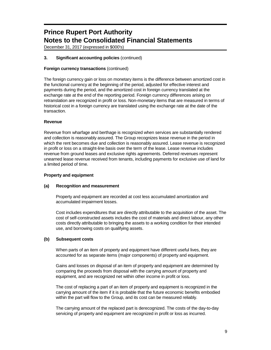December 31, 2017 (expressed in \$000's)

# **3. Significant accounting policies** (continued)

# **Foreign currency transactions** (continued)

The foreign currency gain or loss on monetary items is the difference between amortized cost in the functional currency at the beginning of the period, adjusted for effective interest and payments during the period, and the amortized cost in foreign currency translated at the exchange rate at the end of the reporting period. Foreign currency differences arising on retranslation are recognized in profit or loss. Non-monetary items that are measured in terms of historical cost in a foreign currency are translated using the exchange rate at the date of the transaction.

# **Revenue**

Revenue from wharfage and berthage is recognized when services are substantially rendered and collection is reasonably assured. The Group recognizes lease revenue in the period in which the rent becomes due and collection is reasonably assured. Lease revenue is recognized in profit or loss on a straight-line basis over the term of the lease. Lease revenue includes revenue from ground leases and exclusive rights agreements. Deferred revenues represent unearned lease revenue received from tenants, including payments for exclusive use of land for a limited period of time.

### **Property and equipment**

### **(a) Recognition and measurement**

Property and equipment are recorded at cost less accumulated amortization and accumulated impairment losses.

Cost includes expenditures that are directly attributable to the acquisition of the asset. The cost of self-constructed assets includes the cost of materials and direct labour, any other costs directly attributable to bringing the assets to a working condition for their intended use, and borrowing costs on qualifying assets.

### **(b) Subsequent costs**

When parts of an item of property and equipment have different useful lives, they are accounted for as separate items (major components) of property and equipment.

Gains and losses on disposal of an item of property and equipment are determined by comparing the proceeds from disposal with the carrying amount of property and equipment, and are recognized net within other income in profit or loss.

The cost of replacing a part of an item of property and equipment is recognized in the carrying amount of the item if it is probable that the future economic benefits embodied within the part will flow to the Group, and its cost can be measured reliably.

The carrying amount of the replaced part is derecognized. The costs of the day-to-day servicing of property and equipment are recognized in profit or loss as incurred.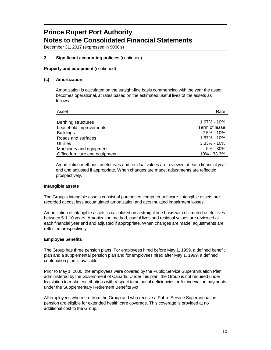December 31, 2017 (expressed in \$000's)

# **3. Significant accounting policies** (continued)

# **Property and equipment** (continued)

# **(c) Amortization**

Amortization is calculated on the straight-line basis commencing with the year the asset becomes operational, at rates based on the estimated useful lives of the assets as follows:

| Asset                          | Rate            |
|--------------------------------|-----------------|
|                                |                 |
| Berthing structures            | 1.67% - 10%     |
| Leasehold improvements         | Term of lease   |
| <b>Buildings</b>               | $2.5\% - 10\%$  |
| Roads and surfaces             | $1.67\% - 10\%$ |
| Utilities                      | $3.33\% - 10\%$ |
| Machinery and equipment        | $5\% - 30\%$    |
| Office furniture and equipment | 10% - 33.3%     |

Amortization methods, useful lives and residual values are reviewed at each financial year end and adjusted if appropriate. When changes are made, adjustments are reflected prospectively.

# **Intangible assets**

The Group's intangible assets consist of purchased computer software. Intangible assets are recorded at cost less accumulated amortization and accumulated impairment losses.

Amortization of intangible assets is calculated on a straight-line basis with estimated useful lives between 5 & 10 years. Amortization method, useful lives and residual values are reviewed at each financial year end and adjusted if appropriate. When changes are made, adjustments are reflected prospectively.

# **Employee benefits**

The Group has three pension plans. For employees hired before May 1, 1999, a defined benefit plan and a supplemental pension plan and for employees hired after May 1, 1999, a defined contribution plan is available.

Prior to May 1, 2000, the employees were covered by the Public Service Superannuation Plan administered by the Government of Canada. Under this plan, the Group is not required under legislation to make contributions with respect to actuarial deficiencies or for indexation payments under the Supplementary Retirement Benefits Act

All employees who retire from the Group and who receive a Public Service Superannuation pension are eligible for extended health care coverage. This coverage is provided at no additional cost to the Group.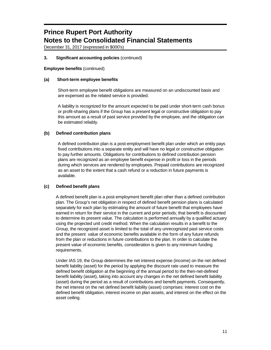December 31, 2017 (expressed in \$000's)

# **3. Significant accounting policies** (continued)

**Employee benefits** (continued)

### **(a) Short-term employee benefits**

Short-term employee benefit obligations are measured on an undiscounted basis and are expensed as the related service is provided.

A liability is recognized for the amount expected to be paid under short-term cash bonus or profit-sharing plans if the Group has a present legal or constructive obligation to pay this amount as a result of past service provided by the employee, and the obligation can be estimated reliably.

# **(b) Defined contribution plans**

A defined contribution plan is a post-employment benefit plan under which an entity pays fixed contributions into a separate entity and will have no legal or constructive obligation to pay further amounts. Obligations for contributions to defined contribution pension plans are recognized as an employee benefit expense in profit or loss in the periods during which services are rendered by employees. Prepaid contributions are recognized as an asset to the extent that a cash refund or a reduction in future payments is available.

# **(c) Defined benefit plans**

A defined benefit plan is a post-employment benefit plan other than a defined contribution plan. The Group's net obligation in respect of defined benefit pension plans is calculated separately for each plan by estimating the amount of future benefit that employees have earned in return for their service in the current and prior periods; that benefit is discounted to determine its present value. The calculation is performed annually by a qualified actuary using the projected unit credit method. When the calculation results in a benefit to the Group, the recognized asset is limited to the total of any unrecognized past service costs and the present value of economic benefits available in the form of any future refunds from the plan or reductions in future contributions to the plan. In order to calculate the present value of economic benefits, consideration is given to any minimum funding requirements.

Under IAS 19, the Group determines the net interest expense (income) on the net defined benefit liability (asset) for the period by applying the discount rate used to measure the defined benefit obligation at the beginning of the annual period to the then-net-defined benefit liability (asset), taking into account any changes in the net defined benefit liability (asset) during the period as a result of contributions and benefit payments. Consequently, the net interest on the net defined benefit liability (asset) comprises: interest cost on the defined benefit obligation, interest income on plan assets, and interest on the effect on the asset ceiling.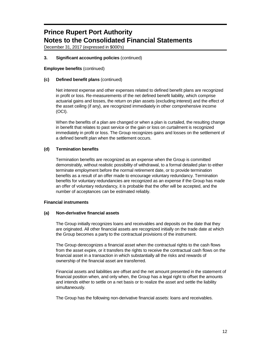December 31, 2017 (expressed in \$000's)

# **3. Significant accounting policies** (continued)

**Employee benefits** (continued)

### **(c) Defined benefit plans** (continued)

Net interest expense and other expenses related to defined benefit plans are recognized in profit or loss. Re-measurements of the net defined benefit liability, which comprise actuarial gains and losses, the return on plan assets (excluding interest) and the effect of the asset ceiling (if any), are recognized immediately in other comprehensive income (OCI).

When the benefits of a plan are changed or when a plan is curtailed, the resulting change in benefit that relates to past service or the gain or loss on curtailment is recognized immediately in profit or loss. The Group recognizes gains and losses on the settlement of a defined benefit plan when the settlement occurs.

# **(d) Termination benefits**

Termination benefits are recognized as an expense when the Group is committed demonstrably, without realistic possibility of withdrawal, to a formal detailed plan to either terminate employment before the normal retirement date, or to provide termination benefits as a result of an offer made to encourage voluntary redundancy. Termination benefits for voluntary redundancies are recognized as an expense if the Group has made an offer of voluntary redundancy, it is probable that the offer will be accepted, and the number of acceptances can be estimated reliably.

### **Financial instruments**

### **(a) Non-derivative financial assets**

The Group initially recognizes loans and receivables and deposits on the date that they are originated. All other financial assets are recognized initially on the trade date at which the Group becomes a party to the contractual provisions of the instrument.

The Group derecognizes a financial asset when the contractual rights to the cash flows from the asset expire, or it transfers the rights to receive the contractual cash flows on the financial asset in a transaction in which substantially all the risks and rewards of ownership of the financial asset are transferred.

Financial assets and liabilities are offset and the net amount presented in the statement of financial position when, and only when, the Group has a legal right to offset the amounts and intends either to settle on a net basis or to realize the asset and settle the liability simultaneously.

The Group has the following non-derivative financial assets: loans and receivables.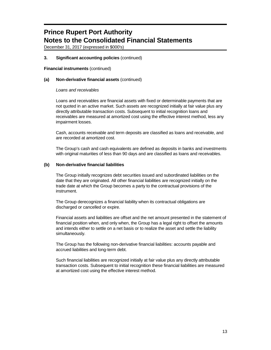December 31, 2017 (expressed in \$000's)

# **3. Significant accounting policies** (continued)

**Financial instruments** (continued)

# **(a) Non-derivative financial assets** (continued)

### *Loans and receivables*

Loans and receivables are financial assets with fixed or determinable payments that are not quoted in an active market. Such assets are recognized initially at fair value plus any directly attributable transaction costs. Subsequent to initial recognition loans and receivables are measured at amortized cost using the effective interest method, less any impairment losses.

Cash, accounts receivable and term deposits are classified as loans and receivable, and are recorded at amortized cost.

The Group's cash and cash equivalents are defined as deposits in banks and investments with original maturities of less than 90 days and are classified as loans and receivables.

# **(b) Non-derivative financial liabilities**

The Group initially recognizes debt securities issued and subordinated liabilities on the date that they are originated. All other financial liabilities are recognized initially on the trade date at which the Group becomes a party to the contractual provisions of the instrument.

The Group derecognizes a financial liability when its contractual obligations are discharged or cancelled or expire.

Financial assets and liabilities are offset and the net amount presented in the statement of financial position when, and only when, the Group has a legal right to offset the amounts and intends either to settle on a net basis or to realize the asset and settle the liability simultaneously.

The Group has the following non-derivative financial liabilities: accounts payable and accrued liabilities and long-term debt.

Such financial liabilities are recognized initially at fair value plus any directly attributable transaction costs. Subsequent to initial recognition these financial liabilities are measured at amortized cost using the effective interest method.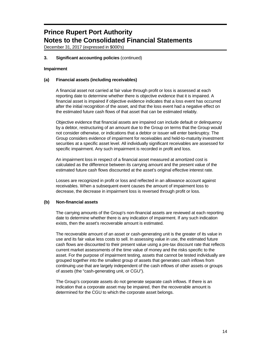December 31, 2017 (expressed in \$000's)

# **3. Significant accounting policies** (continued)

### **Impairment**

### **(a) Financial assets (including receivables)**

A financial asset not carried at fair value through profit or loss is assessed at each reporting date to determine whether there is objective evidence that it is impaired. A financial asset is impaired if objective evidence indicates that a loss event has occurred after the initial recognition of the asset, and that the loss event had a negative effect on the estimated future cash flows of that asset that can be estimated reliably.

Objective evidence that financial assets are impaired can include default or delinquency by a debtor, restructuring of an amount due to the Group on terms that the Group would not consider otherwise, or indications that a debtor or issuer will enter bankruptcy. The Group considers evidence of impairment for receivables and held-to-maturity investment securities at a specific asset level. All individually significant receivables are assessed for specific impairment. Any such impairment is recorded in profit and loss.

An impairment loss in respect of a financial asset measured at amortized cost is calculated as the difference between its carrying amount and the present value of the estimated future cash flows discounted at the asset's original effective interest rate.

Losses are recognized in profit or loss and reflected in an allowance account against receivables. When a subsequent event causes the amount of impairment loss to decrease, the decrease in impairment loss is reversed through profit or loss.

# **(b) Non-financial assets**

The carrying amounts of the Group's non-financial assets are reviewed at each reporting date to determine whether there is any indication of impairment. If any such indication exists, then the asset's recoverable amount is estimated.

The recoverable amount of an asset or cash-generating unit is the greater of its value in use and its fair value less costs to sell. In assessing value in use, the estimated future cash flows are discounted to their present value using a pre-tax discount rate that reflects current market assessments of the time value of money and the risks specific to the asset. For the purpose of impairment testing, assets that cannot be tested individually are grouped together into the smallest group of assets that generates cash inflows from continuing use that are largely independent of the cash inflows of other assets or groups of assets (the "cash-generating unit, or CGU").

The Group's corporate assets do not generate separate cash inflows. If there is an indication that a corporate asset may be impaired, then the recoverable amount is determined for the CGU to which the corporate asset belongs.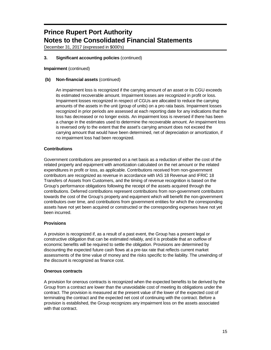December 31, 2017 (expressed in \$000's)

# **3. Significant accounting policies** (continued)

**Impairment** (continued)

# **(b) Non-financial assets** (continued)

An impairment loss is recognized if the carrying amount of an asset or its CGU exceeds its estimated recoverable amount. Impairment losses are recognized in profit or loss. Impairment losses recognized in respect of CGUs are allocated to reduce the carrying amounts of the assets in the unit (group of units) on a pro rata basis. Impairment losses recognized in prior periods are assessed at each reporting date for any indications that the loss has decreased or no longer exists. An impairment loss is reversed if there has been a change in the estimates used to determine the recoverable amount. An impairment loss is reversed only to the extent that the asset's carrying amount does not exceed the carrying amount that would have been determined, net of depreciation or amortization, if no impairment loss had been recognized.

# **Contributions**

Government contributions are presented on a net basis as a reduction of either the cost of the related property and equipment with amortization calculated on the net amount or the related expenditures in profit or loss, as applicable. Contributions received from non-government contributors are recognized as revenue in accordance with IAS 18 Revenue and IFRIC 18 Transfers of Assets from Customers, and the timing of revenue recognition is based on the Group's performance obligations following the receipt of the assets acquired through the contributions. Deferred contributions represent contributions from non-government contributors towards the cost of the Group's property and equipment which will benefit the non-government contributors over time, and contributions from government entities for which the corresponding assets have not yet been acquired or constructed or the corresponding expenses have not yet been incurred.

# **Provisions**

A provision is recognized if, as a result of a past event, the Group has a present legal or constructive obligation that can be estimated reliably, and it is probable that an outflow of economic benefits will be required to settle the obligation. Provisions are determined by discounting the expected future cash flows at a pre-tax rate that reflects current market assessments of the time value of money and the risks specific to the liability. The unwinding of the discount is recognized as finance cost.

# **Onerous contracts**

A provision for onerous contracts is recognized when the expected benefits to be derived by the Group from a contract are lower than the unavoidable cost of meeting its obligations under the contract. The provision is measured at the present value of the lower of the expected cost of terminating the contract and the expected net cost of continuing with the contract. Before a provision is established, the Group recognizes any impairment loss on the assets associated with that contract.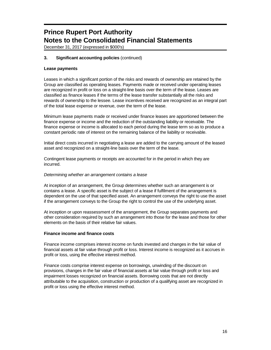December 31, 2017 (expressed in \$000's)

# **3. Significant accounting policies** (continued)

### **Lease payments**

Leases in which a significant portion of the risks and rewards of ownership are retained by the Group are classified as operating leases. Payments made or received under operating leases are recognized in profit or loss on a straight-line basis over the term of the lease. Leases are classified as finance leases if the terms of the lease transfer substantially all the risks and rewards of ownership to the lessee. Lease incentives received are recognized as an integral part of the total lease expense or revenue, over the term of the lease.

Minimum lease payments made or received under finance leases are apportioned between the finance expense or income and the reduction of the outstanding liability or receivable. The finance expense or income is allocated to each period during the lease term so as to produce a constant periodic rate of interest on the remaining balance of the liability or receivable.

Initial direct costs incurred in negotiating a lease are added to the carrying amount of the leased asset and recognized on a straight-line basis over the term of the lease.

Contingent lease payments or receipts are accounted for in the period in which they are incurred.

### *Determining whether an arrangement contains a lease*

At inception of an arrangement, the Group determines whether such an arrangement is or contains a lease. A specific asset is the subject of a lease if fulfilment of the arrangement is dependent on the use of that specified asset. An arrangement conveys the right to use the asset if the arrangement conveys to the Group the right to control the use of the underlying asset.

At inception or upon reassessment of the arrangement, the Group separates payments and other consideration required by such an arrangement into those for the lease and those for other elements on the basis of their relative fair values.

### **Finance income and finance costs**

Finance income comprises interest income on funds invested and changes in the fair value of financial assets at fair value through profit or loss. Interest income is recognized as it accrues in profit or loss, using the effective interest method.

Finance costs comprise interest expense on borrowings, unwinding of the discount on provisions, changes in the fair value of financial assets at fair value through profit or loss and impairment losses recognized on financial assets. Borrowing costs that are not directly attributable to the acquisition, construction or production of a qualifying asset are recognized in profit or loss using the effective interest method.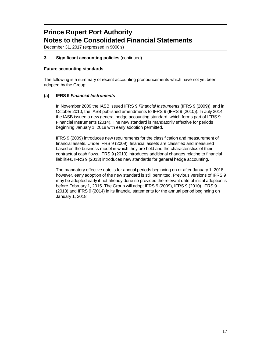December 31, 2017 (expressed in \$000's)

# **3. Significant accounting policies** (continued)

# **Future accounting standards**

The following is a summary of recent accounting pronouncements which have not yet been adopted by the Group:

# **(a) IFRS 9** *Financial Instruments*

In November 2009 the IASB issued IFRS 9 *Financial Instruments* (IFRS 9 (2009)), and in October 2010, the IASB published amendments to IFRS 9 (IFRS 9 (2010)). In July 2014, the IASB issued a new general hedge accounting standard, which forms part of IFRS 9 Financial Instruments (2014). The new standard is mandatorily effective for periods beginning January 1, 2018 with early adoption permitted.

IFRS 9 (2009) introduces new requirements for the classification and measurement of financial assets. Under IFRS 9 (2009), financial assets are classified and measured based on the business model in which they are held and the characteristics of their contractual cash flows. IFRS 9 (2010) introduces additional changes relating to financial liabilities. IFRS 9 (2013) introduces new standards for general hedge accounting.

The mandatory effective date is for annual periods beginning on or after January 1, 2018; however, early adoption of the new standard is still permitted. Previous versions of IFRS 9 may be adopted early if not already done so provided the relevant date of initial adoption is before February 1, 2015. The Group will adopt IFRS 9 (2009), IFRS 9 (2010), IFRS 9 (2013) and IFRS 9 (2014) in its financial statements for the annual period beginning on January 1, 2018.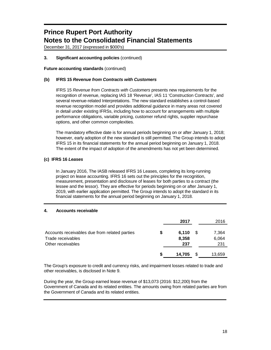December 31, 2017 (expressed in \$000's)

# **3. Significant accounting policies** (continued)

**Future accounting standards** (continued)

### **(b) IFRS 15** *Revenue from Contracts with Customers*

IFRS 15 *Revenue from Contracts with Customers* presents new requirements for the recognition of revenue, replacing IAS 18 'Revenue', IAS 11 'Construction Contracts', and several revenue-related Interpretations. The new standard establishes a control-based revenue recognition model and provides additional guidance in many areas not covered in detail under existing IFRSs, including how to account for arrangements with multiple performance obligations, variable pricing, customer refund rights, supplier repurchase options, and other common complexities.

The mandatory effective date is for annual periods beginning on or after January 1, 2018; however, early adoption of the new standard is still permitted. The Group intends to adopt IFRS 15 in its financial statements for the annual period beginning on January 1, 2018. The extent of the impact of adoption of the amendments has not yet been determined.

# **(c) IFRS 16** *Leases*

In January 2016, The IASB released IFRS 16 Leases, completing its long-running project on lease accounting. IFRS 16 sets out the principles for the recognition, measurement, presentation and disclosure of leases for both parties to a contract (the lessee and the lessor). They are effective for periods beginning on or after January 1, 2019, with earlier application permitted. The Group intends to adopt the standard in its financial statements for the annual period beginning on January 1, 2018.

### **4. Accounts receivable**

|                                               | 2017        |    | 2016   |
|-----------------------------------------------|-------------|----|--------|
| Accounts receivables due from related parties | \$<br>6.110 | -S | 7,364  |
| Trade receivables                             | 8,358       |    | 6,064  |
| Other receivables                             | 237         |    | 231    |
|                                               | 14.705      | S  | 13,659 |

The Group's exposure to credit and currency risks, and impairment losses related to trade and other receivables, is disclosed in Note 9.

During the year, the Group earned lease revenue of \$13,073 (2016: \$12,200) from the Government of Canada and its related entities. The amounts owing from related parties are from the Government of Canada and its related entities.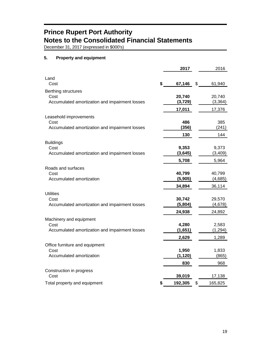December 31, 2017 (expressed in \$000's)

# **5. Property and equipment**

|                                                | 2017          | 2016          |
|------------------------------------------------|---------------|---------------|
| Land                                           |               |               |
| Cost                                           | \$<br>67,146  | \$<br>61,940  |
| Berthing structures                            |               |               |
| Cost                                           | 20,740        | 20,740        |
| Accumulated amortization and impairment losses | (3, 729)      | (3, 364)      |
|                                                | 17,011        | 17,376        |
| Leasehold improvements                         |               |               |
| Cost                                           | 486           | 385           |
| Accumulated amortization and impairment losses | (356)         | (241)         |
|                                                | 130           | 144           |
| <b>Buildings</b>                               |               |               |
| Cost                                           | 9,353         | 9,373         |
| Accumulated amortization and impairment losses | (3, 645)      | (3, 409)      |
|                                                | 5,708         | 5,964         |
| Roads and surfaces                             |               |               |
| Cost                                           | 40,799        | 40,799        |
| Accumulated amortization                       | (5,905)       | (4,685)       |
|                                                | 34,894        | 36,114        |
| <b>Utilities</b>                               |               |               |
| Cost                                           | 30,742        | 29,570        |
| Accumulated amortization and impairment losses | (5,804)       | (4,678)       |
|                                                | 24,938        | 24,892        |
| Machinery and equipment                        |               |               |
| Cost                                           | 4,280         | 2,583         |
| Accumulated amortization and impairment losses | (1,651)       | (1, 294)      |
|                                                | 2,629         | 1,289         |
| Office furniture and equipment                 |               |               |
| Cost                                           | 1,950         | 1,833         |
| Accumulated amortization                       | (1, 120)      | (865)         |
|                                                | 830           | 968           |
| Construction in progress                       |               |               |
| Cost                                           | 39,019        | 17,138        |
| Total property and equipment                   | \$<br>192,305 | \$<br>165,825 |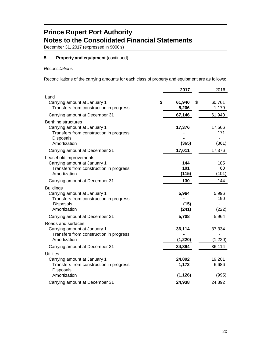December 31, 2017 (expressed in \$000's)

# **5. Property and equipment** (continued)

# *Reconciliations*

Reconciliations of the carrying amounts for each class of property and equipment are as follows:

|                                                             | 2017         | 2016         |
|-------------------------------------------------------------|--------------|--------------|
| Land                                                        |              |              |
| Carrying amount at January 1                                | \$<br>61,940 | \$<br>60,761 |
| Transfers from construction in progress                     | 5,206        | 1,179        |
| Carrying amount at December 31                              | 67,146       | 61,940       |
| <b>Berthing structures</b>                                  |              |              |
| Carrying amount at January 1                                | 17,376       | 17,566       |
| Transfers from construction in progress                     |              | 171          |
| <b>Disposals</b>                                            |              |              |
| Amortization                                                | (365)        | (361)        |
| Carrying amount at December 31                              | 17,011       | 17,376       |
| Leasehold improvements                                      |              |              |
| Carrying amount at January 1                                | 144          | 185          |
| Transfers from construction in progress<br>Amortization     | 101          | 60           |
|                                                             | (115)        | (101)        |
| Carrying amount at December 31                              | 130          | 144          |
| <b>Buildings</b>                                            |              |              |
| Carrying amount at January 1                                | 5,964        | 5,996        |
| Transfers from construction in progress<br><b>Disposals</b> | (15)         | 190          |
| Amortization                                                | (241)        | (222)        |
| Carrying amount at December 31                              | 5,708        | 5,964        |
| Roads and surfaces                                          |              |              |
| Carrying amount at January 1                                | 36,114       | 37,334       |
| Transfers from construction in progress                     |              |              |
| Amortization                                                | (1, 220)     | (1,220)      |
| Carrying amount at December 31                              | 34,894       | 36,114       |
| <b>Utilities</b>                                            |              |              |
| Carrying amount at January 1                                | 24,892       | 19,201       |
| Transfers from construction in progress                     | 1,172        | 6,686        |
| Disposals<br>Amortization                                   | (1, 126)     | (995)        |
|                                                             |              |              |
| Carrying amount at December 31                              | 24,938       | 24,892       |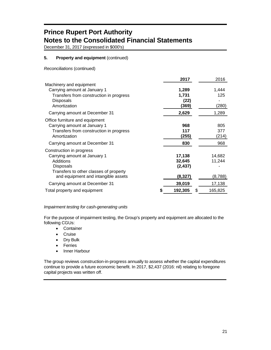December 31, 2017 (expressed in \$000's)

# **5. Property and equipment** (continued)

*Reconciliations* (continued)

|                                         | 2017     | 2016          |
|-----------------------------------------|----------|---------------|
| Machinery and equipment                 |          |               |
| Carrying amount at January 1            | 1,289    | 1,444         |
| Transfers from construction in progress | 1,731    | 125           |
| <b>Disposals</b>                        | (22)     |               |
| Amortization                            | (369)    | (280)         |
| Carrying amount at December 31          | 2,629    | 1,289         |
| Office furniture and equipment          |          |               |
| Carrying amount at January 1            | 968      | 805           |
| Transfers from construction in progress | 117      | 377           |
| Amortization                            | (255)    | (214)         |
| Carrying amount at December 31          | 830      | 968           |
| Construction in progress                |          |               |
| Carrying amount at January 1            | 17,138   | 14,682        |
| Additions                               | 32,645   | 11,244        |
| <b>Disposals</b>                        | (2, 437) |               |
| Transfers to other classes of property  |          |               |
| and equipment and intangible assets     | (8, 327) | (8,788)       |
| Carrying amount at December 31          | 39,019   | 17,138        |
| Total property and equipment            | 192,305  | \$<br>165,825 |

# *Impairment testing for cash-generating units*

For the purpose of impairment testing, the Group's property and equipment are allocated to the following CGUs:

- Container
- Cruise
- Dry Bulk
- Ferries
- Inner Harbour

The group reviews construction-in-progress annually to assess whether the capital expenditures continue to provide a future economic benefit. In 2017, \$2,437 (2016: nil) relating to foregone capital projects was written off.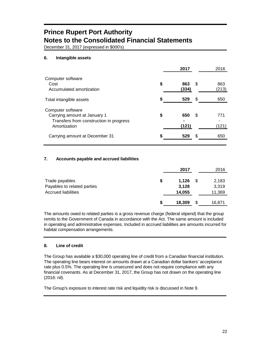December 31, 2017 (expressed in \$000's)

# **6. Intangible assets**

|                                                                                                              |    | 2017         |    | 2016         |
|--------------------------------------------------------------------------------------------------------------|----|--------------|----|--------------|
| Computer software<br>Cost<br>Accumulated amortization                                                        | \$ | 863<br>(334) | S  | 863<br>(213) |
| Total intangible assets                                                                                      | \$ | 529          | \$ | 650          |
| Computer software<br>Carrying amount at January 1<br>Transfers from construction in progress<br>Amortization | S  | 650<br>(121) | S  | 771<br>(121) |
| Carrying amount at December 31                                                                               |    | 529          | \$ | 650          |

# **7. Accounts payable and accrued liabilities**

|                             |    | 2017   | 2016        |
|-----------------------------|----|--------|-------------|
| Trade payables              | \$ | 1.126  | \$<br>2,183 |
| Payables to related parties |    | 3,128  | 3,319       |
| Accrued liabilities         |    | 14,055 | 11,369      |
|                             | S  | 18,309 | 16,871      |

The amounts owed to related parties is a gross revenue charge (federal stipend) that the group remits to the Government of Canada in accordance with the Act. The same amount is included in operating and administrative expenses. Included in accrued liabilities are amounts incurred for habitat compensation arrangements.

# **8. Line of credit**

The Group has available a \$30,000 operating line of credit from a Canadian financial institution. The operating line bears interest on amounts drawn at a Canadian dollar bankers' acceptance rate plus 0.5%. The operating line is unsecured and does not require compliance with any financial covenants. As at December 31, 2017, the Group has not drawn on the operating line (2016: nil).

The Group's exposure to interest rate risk and liquidity risk is discussed in Note 9.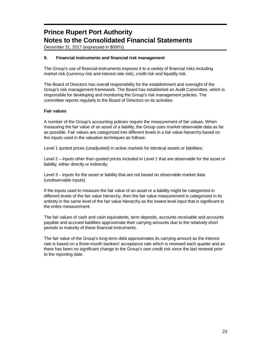December 31, 2017 (expressed in \$000's)

# **9. Financial instruments and financial risk management**

The Group's use of financial instruments exposes it to a variety of financial risks including market risk (currency risk and interest rate risk), credit risk and liquidity risk.

The Board of Directors has overall responsibility for the establishment and oversight of the Group's risk management framework. The Board has established an Audit Committee, which is responsible for developing and monitoring the Group's risk management policies. The committee reports regularly to the Board of Directors on its activities.

# **Fair values**

A number of the Group's accounting policies require the measurement of fair values. When measuring the fair value of an asset of a liability, the Group uses market observable data as far as possible. Fair values are categorized into different levels in a fair value hierarchy based on the inputs used in the valuation techniques as follows:

Level 1 quoted prices (unadjusted) in active markets for identical assets or liabilities;

Level 2 – inputs other than quoted prices included in Level 1 that are observable for the asset or liability, either directly or indirectly;

Level 3 – inputs for the asset or liability that are not based on observable market data (unobservable inputs).

If the inputs used to measure the fair value of an asset or a liability might be categorized in different levels of the fair value hierarchy, then the fair value measurement is categorized in its entirety in the same level of the fair value hierarchy as the lowest level input that is significant to the entire measurement.

The fair values of cash and cash equivalents, term deposits, accounts receivable and accounts payable and accrued liabilities approximate their carrying amounts due to the relatively short periods to maturity of these financial instruments.

The fair value of the Group's long-term debt approximates its carrying amount as the interest rate is based on a three-month bankers' acceptance rate which is renewed each quarter and as there has been no significant change to the Group's own credit risk since the last renewal prior to the reporting date.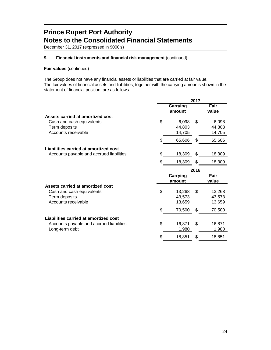December 31, 2017 (expressed in \$000's)

# **9. Financial instruments and financial risk management** (continued)

### **Fair values** (continued)

The Group does not have any financial assets or liabilities that are carried at fair value. The fair values of financial assets and liabilities, together with the carrying amounts shown in the statement of financial position, are as follows:

**2017**

|                                            | 2017 |                           |      |               |
|--------------------------------------------|------|---------------------------|------|---------------|
|                                            |      | <b>Carrying</b><br>amount |      | Fair<br>value |
| Assets carried at amortized cost           |      |                           |      |               |
| Cash and cash equivalents                  | \$   | 6,098                     | \$   | 6,098         |
| Term deposits                              |      | 44,803                    |      | 44,803        |
| Accounts receivable                        |      | 14,705                    |      | 14,705        |
|                                            | \$   | 65,606                    | \$   | 65,606        |
| Liabilities carried at amortized cost      |      |                           |      |               |
| Accounts payable and accrued liabilities   | \$   | 18,309                    | \$   | 18,309        |
|                                            | \$   | 18,309                    | \$   | 18,309        |
|                                            |      |                           | 2016 |               |
|                                            |      | Carrying                  |      | Fair          |
|                                            |      | amount                    |      | value         |
| Assets carried at amortized cost           | \$   | 13,268                    | \$   | 13,268        |
| Cash and cash equivalents<br>Term deposits |      | 43,573                    |      | 43,573        |
| Accounts receivable                        |      | 13,659                    |      | 13,659        |
|                                            | \$   | 70,500                    | \$   | 70,500        |
|                                            |      |                           |      |               |
| Liabilities carried at amortized cost      |      |                           |      |               |
| Accounts payable and accrued liabilities   | \$   | 16,871                    | \$   | 16,871        |
| Long-term debt                             |      | 1,980                     |      | 1,980         |
|                                            | \$   | 18,851                    | \$   | 18,851        |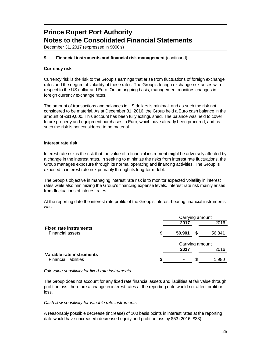December 31, 2017 (expressed in \$000's)

# **9. Financial instruments and financial risk management** (continued)

# **Currency risk**

Currency risk is the risk to the Group's earnings that arise from fluctuations of foreign exchange rates and the degree of volatility of these rates. The Group's foreign exchange risk arises with respect to the US dollar and Euro. On an ongoing basis, management monitors changes in foreign currency exchange rates.

The amount of transactions and balances in US dollars is minimal, and as such the risk not considered to be material. As at December 31, 2016, the Group held a Euro cash balance in the amount of €819,000. This account has been fully extinguished. The balance was held to cover future property and equipment purchases in Euro, which have already been procured, and as such the risk is not considered to be material.

### **Interest rate risk**

Interest rate risk is the risk that the value of a financial instrument might be adversely affected by a change in the interest rates. In seeking to minimize the risks from interest rate fluctuations, the Group manages exposure through its normal operating and financing activities. The Group is exposed to interest rate risk primarily through its long-term debt.

The Group's objective in managing interest rate risk is to monitor expected volatility in interest rates while also minimizing the Group's financing expense levels. Interest rate risk mainly arises from fluctuations of interest rates.

At the reporting date the interest rate profile of the Group's interest-bearing financial instruments was:

|                                                           |   | Carrying amount |   |        |
|-----------------------------------------------------------|---|-----------------|---|--------|
|                                                           |   | 2017            |   | 2016   |
| <b>Fixed rate instruments</b><br><b>Financial assets</b>  | S | 50,901          | S | 56,841 |
|                                                           |   | Carrying amount |   |        |
|                                                           |   | 2017            |   | 2016   |
| Variable rate instruments<br><b>Financial liabilities</b> |   | $\blacksquare$  | S | 1,980  |

### *Fair value sensitivity for fixed-rate instruments*

The Group does not account for any fixed rate financial assets and liabilities at fair value through profit or loss, therefore a change in interest rates at the reporting date would not affect profit or loss.

### *Cash flow sensitivity for variable rate instruments*

A reasonably possible decrease (increase) of 100 basis points in interest rates at the reporting date would have (increased) decreased equity and profit or loss by \$53 (2016: \$33).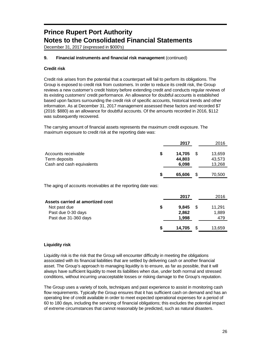December 31, 2017 (expressed in \$000's)

# **9. Financial instruments and financial risk management** (continued)

# **Credit risk**

Credit risk arises from the potential that a counterpart will fail to perform its obligations. The Group is exposed to credit risk from customers. In order to reduce its credit risk, the Group reviews a new customer's credit history before extending credit and conducts regular reviews of its existing customers' credit performance. An allowance for doubtful accounts is established based upon factors surrounding the credit risk of specific accounts, historical trends and other information. As at December 31, 2017 management assessed these factors and recorded \$7 (2016: \$880) as an allowance for doubtful accounts. Of the amounts recorded in 2016, \$112 was subsequently recovered.

The carrying amount of financial assets represents the maximum credit exposure. The maximum exposure to credit risk at the reporting date was:

|                           |   | 2017   |     | 2016   |
|---------------------------|---|--------|-----|--------|
| Accounts receivable       |   | 14.705 | \$. | 13,659 |
| Term deposits             |   | 44,803 |     | 43,573 |
| Cash and cash equivalents |   | 6,098  |     | 13,268 |
|                           | S | 65,606 | \$  | 70,500 |

The aging of accounts receivables at the reporting date was:

|                                                                                                |   | 2017                    |   | 2016                   |
|------------------------------------------------------------------------------------------------|---|-------------------------|---|------------------------|
| Assets carried at amortized cost<br>Not past due<br>Past due 0-30 days<br>Past due 31-360 days | S | 9.845<br>2.862<br>1.998 | S | 11,291<br>1,889<br>479 |
|                                                                                                | S | 14.705                  |   | 13,659                 |

# **Liquidity risk**

Liquidity risk is the risk that the Group will encounter difficulty in meeting the obligations associated with its financial liabilities that are settled by delivering cash or another financial asset. The Group's approach to managing liquidity is to ensure, as far as possible, that it will always have sufficient liquidity to meet its liabilities when due, under both normal and stressed conditions, without incurring unacceptable losses or risking damage to the Group's reputation.

The Group uses a variety of tools, techniques and past experience to assist in monitoring cash flow requirements. Typically the Group ensures that it has sufficient cash on demand and has an operating line of credit available in order to meet expected operational expenses for a period of 60 to 180 days, including the servicing of financial obligations; this excludes the potential impact of extreme circumstances that cannot reasonably be predicted, such as natural disasters.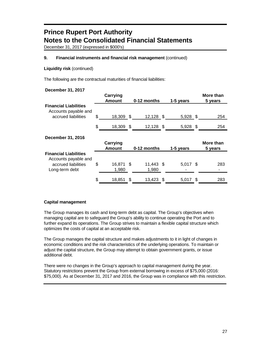December 31, 2017 (expressed in \$000's)

# **9. Financial instruments and financial risk management** (continued)

# **Liquidity risk** (continued)

The following are the contractual maturities of financial liabilities:

# **December 31, 2017**

|                                                      |    | Carrying      |             |            | More than |
|------------------------------------------------------|----|---------------|-------------|------------|-----------|
|                                                      |    | Amount        | 0-12 months | 1-5 years  | 5 years   |
| <b>Financial Liabilities</b><br>Accounts payable and |    |               |             |            |           |
| accrued liabilities                                  | S. | 18,309 \$     | $12,128$ \$ | $5,928$ \$ | 254       |
|                                                      | \$ | 18,309 \$     | $12,128$ \$ | 5,928 \$   | 254       |
| <b>December 31, 2016</b>                             |    | Carrying      |             |            | More than |
|                                                      |    | <b>Amount</b> | 0-12 months | 1-5 years  | 5 years   |
| <b>Financial Liabilities</b><br>Accounts payable and |    |               |             |            |           |
|                                                      |    |               |             |            |           |
| accrued liabilities                                  | \$ | 16,871 \$     | 11,443 \$   | $5,017$ \$ | 283       |
| Long-term debt                                       |    | 1,980         | 1,980       |            |           |

# **Capital management**

The Group manages its cash and long-term debt as capital. The Group's objectives when managing capital are to safeguard the Group's ability to continue operating the Port and to further expand its operations. The Group strives to maintain a flexible capital structure which optimizes the costs of capital at an acceptable risk.

The Group manages the capital structure and makes adjustments to it in light of changes in economic conditions and the risk characteristics of the underlying operations. To maintain or adjust the capital structure, the Group may attempt to obtain government grants, or issue additional debt.

There were no changes in the Group's approach to capital management during the year. Statutory restrictions prevent the Group from external borrowing in excess of \$75,000 (2016: \$75,000). As at December 31, 2017 and 2016, the Group was in compliance with this restriction.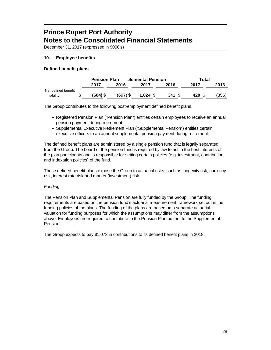December 31, 2017 (expressed in \$000's)

# **10. Employee benefits**

# **Defined benefit plans**

|                                  |   | <b>Pension Plan</b> |          | <b>Semental Pension</b> |      | Total |       |  |
|----------------------------------|---|---------------------|----------|-------------------------|------|-------|-------|--|
|                                  |   | 2017                | 2016     | 2017                    | 2016 | 2017  | 2016  |  |
| Net defined benefit<br>liability | S | (604) \$            | (697) \$ | $1.024$ \$              | 341  | 420   | (356) |  |

The Group contributes to the following post-employment defined benefit plans.

- Registered Pension Plan ("Pension Plan") entitles certain employees to receive an annual pension payment during retirement.
- Supplemental Executive Retirement Plan ("Supplemental Pension") entitles certain executive officers to an annual supplemental pension payment during retirement.

The defined benefit plans are administered by a single pension fund that is legally separated from the Group. The board of the pension fund is required by law to act in the best interests of the plan participants and is responsible for setting certain policies (e.g. investment, contribution and indexation policies) of the fund.

These defined benefit plans expose the Group to actuarial risks, such as longevity risk, currency risk, interest rate risk and market (investment) risk.

# *Funding*

The Pension Plan and Supplemental Pension are fully funded by the Group. The funding requirements are based on the pension fund's actuarial measurement framework set out in the funding policies of the plans. The funding of the plans are based on a separate actuarial valuation for funding purposes for which the assumptions may differ from the assumptions above. Employees are required to contribute to the Pension Plan but not to the Supplemental Pension.

The Group expects to pay \$1,073 in contributions to its defined benefit plans in 2018.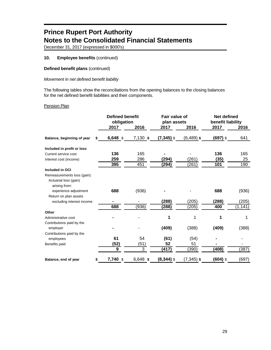December 31, 2017 (expressed in \$000's)

# **10. Employee benefits** (continued)

# **Defined benefit plans** (continued)

### *Movement in net defined benefit liability*

The following tables show the reconciliations from the opening balances to the closing balances for the net defined benefit liabilities and their components.

### **Pension Plan**

|                             |    | <b>Defined benefit</b><br>obligation |            | Fair value of<br>plan assets |               | <b>Net defined</b><br>benefit liability |          |  |
|-----------------------------|----|--------------------------------------|------------|------------------------------|---------------|-----------------------------------------|----------|--|
|                             |    | 2017                                 | 2016       | 2017                         | 2016          | 2017                                    | 2016     |  |
| Balance, beginning of year  | S. | 6,648 $$$                            | $7,130$ \$ | $(7,345)$ \$                 | $(6,489)$ \$  | $(697)$ \$                              | 641      |  |
| Included in profit or loss  |    |                                      |            |                              |               |                                         |          |  |
| Current service cost        |    | 136                                  | 165        |                              |               | 136                                     | 165      |  |
| Interest cost (income)      |    | 259                                  | 286        | (294)                        | (261)         | (35)                                    | 25       |  |
|                             |    | 395                                  | 451        | (294)                        | (261)         | 101                                     | 190      |  |
| Included in OCI             |    |                                      |            |                              |               |                                         |          |  |
| Remeasurements loss (gain): |    |                                      |            |                              |               |                                         |          |  |
| Actuarial loss (gain)       |    |                                      |            |                              |               |                                         |          |  |
| arising from:               |    |                                      |            |                              |               |                                         |          |  |
| experience adjustment       |    | 688                                  | (936)      |                              |               | 688                                     | (936)    |  |
| Return on plan assets       |    |                                      |            |                              |               |                                         |          |  |
| excluding interest income   |    |                                      |            | (288)                        | (205)         | (288)                                   | (205)    |  |
|                             |    | 688                                  | (936)      | (288)                        | (205)         | 400                                     | (1, 141) |  |
| Other                       |    |                                      |            |                              |               |                                         |          |  |
| Administrative cost         |    |                                      |            | 1                            | 1             | 1                                       | 1        |  |
| Contributions paid by the   |    |                                      |            |                              |               |                                         |          |  |
| employer                    |    |                                      |            | (409)                        | (388)         | (409)                                   | (388)    |  |
| Contributions paid by the   |    |                                      |            |                              |               |                                         |          |  |
| employees                   |    | 61                                   | 54         | (61)                         | (54)          |                                         |          |  |
| Benefits paid               |    | (52)                                 | (51)       | 52                           | 51            |                                         |          |  |
|                             |    | 9                                    | 3          | (417)                        | (390)         | (408)                                   | (387)    |  |
| Balance, end of year        |    | 7,740 \$                             | 6,648 \$   | $(8,344)$ \$                 | $(7, 345)$ \$ | $(604)$ \$                              | (697)    |  |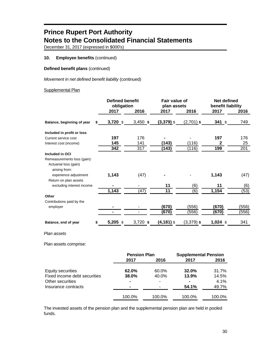December 31, 2017 (expressed in \$000's)

# **10. Employee benefits** (continued)

# **Defined benefit plans** (continued)

*Movement in net defined benefit liability* (continued)

# **Supplemental Plan**

|                             |    | <b>Defined benefit</b><br>obligation |            | Fair value of<br>plan assets |              | <b>Net defined</b><br>benefit liability |       |  |
|-----------------------------|----|--------------------------------------|------------|------------------------------|--------------|-----------------------------------------|-------|--|
|                             |    | 2017                                 | 2016       | 2017                         | 2016         | 2017                                    | 2016  |  |
| Balance, beginning of year  | S. | $3,720$ \$                           | $3,450$ \$ | $(3,379)$ \$                 | $(2,701)$ \$ | 341 $$$                                 | 749   |  |
| Included in profit or loss  |    |                                      |            |                              |              |                                         |       |  |
| Current service cost        |    | 197                                  | 176        |                              |              | 197                                     | 176   |  |
| Interest cost (income)      |    | 145                                  | 141        | (143)                        | (116)        | $\mathbf{2}$                            | 25    |  |
|                             |    | 342                                  | 317        | (143)                        | (116)        | 199                                     | 201   |  |
| Included in OCI             |    |                                      |            |                              |              |                                         |       |  |
| Remeasurements loss (gain): |    |                                      |            |                              |              |                                         |       |  |
| Actuarial loss (gain)       |    |                                      |            |                              |              |                                         |       |  |
| arising from:               |    |                                      |            |                              |              |                                         |       |  |
| experience adjustment       |    | 1,143                                | (47)       |                              |              | 1,143                                   | (47)  |  |
| Return on plan assets       |    |                                      |            |                              |              |                                         |       |  |
| excluding interest income   |    |                                      |            | 11                           | (6)          | 11                                      | (6)   |  |
|                             |    | 1,143                                | (47)       | $\overline{11}$              | (6)          | 1,154                                   | (53)  |  |
| Other                       |    |                                      |            |                              |              |                                         |       |  |
| Contributions paid by the   |    |                                      |            |                              |              |                                         |       |  |
| employer                    |    |                                      |            | (670)                        | (556)        | (670)                                   | (556) |  |
|                             |    |                                      |            | (670)                        | (556)        | (670)                                   | (556) |  |
| Balance, end of year        |    | 5,205<br>\$                          | $3,720$ \$ | $(4, 181)$ \$                | $(3,379)$ \$ | $1,024$ \$                              | 341   |  |

*Plan assets*

Plan assets comprise:

|                              | <b>Pension Plan</b> |        | <b>Supplemental Pension</b> |        |
|------------------------------|---------------------|--------|-----------------------------|--------|
|                              | 2017                | 2016   | 2017                        | 2016   |
| <b>Equity securities</b>     | 62.0%               | 60.0%  | 32.0%                       | 31.7%  |
| Fixed income debt securities | 38.0%               | 40.0%  | 13.9%                       | 14.5%  |
| Other securities             |                     | -      |                             | 4.1%   |
| Insurance contracts          | $\blacksquare$      |        | 54.1%                       | 49.7%  |
|                              | 100.0%              | 100.0% | 100.0%                      | 100.0% |

The invested assets of the pension plan and the supplemental pension plan are held in pooled funds.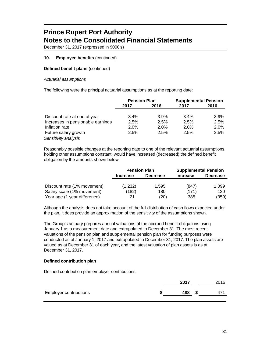December 31, 2017 (expressed in \$000's)

# **10. Employee benefits** (continued)

# **Defined benefit plans** (continued)

### *Actuarial assumptions*

The following were the principal actuarial assumptions as at the reporting date:

|                                   | <b>Pension Plan</b> |      | <b>Supplemental Pension</b> |      |
|-----------------------------------|---------------------|------|-----------------------------|------|
|                                   | 2017                | 2016 | 2017                        | 2016 |
| Discount rate at end of year      | 3.4%                | 3.9% | $3.4\%$                     | 3.9% |
| Increases in pensionable earnings | 2.5%                | 2.5% | 2.5%                        | 2.5% |
| Inflation rate                    | 2.0%                | 2.0% | 2.0%                        | 2.0% |
| Future salary growth              | 2.5%                | 2.5% | 2.5%                        | 2.5% |
| Sensitivity analysis              |                     |      |                             |      |

Reasonably possible changes at the reporting date to one of the relevant actuarial assumptions, holding other assumptions constant, would have increased (decreased) the defined benefit obligation by the amounts shown below.

|                              | <b>Pension Plan</b>                |       | <b>Supplemental Pension</b> |                 |
|------------------------------|------------------------------------|-------|-----------------------------|-----------------|
|                              | <b>Decrease</b><br><b>Increase</b> |       | <b>Increase</b>             | <b>Decrease</b> |
|                              |                                    |       |                             |                 |
| Discount rate (1% movement)  | (1,232)                            | 1.595 | (847)                       | 1,099           |
| Salary scale (1% movement)   | (182)                              | 180   | (171)                       | 120             |
| Year age (1 year difference) | 21                                 | (20)  | 385                         | (359)           |

Although the analysis does not take account of the full distribution of cash flows expected under the plan, it does provide an approximation of the sensitivity of the assumptions shown.

The Group's actuary prepares annual valuations of the accrued benefit obligations using January 1 as a measurement date and extrapolated to December 31. The most recent valuations of the pension plan and supplemental pension plan for funding purposes were conducted as of January 1, 2017 and extrapolated to December 31, 2017. The plan assets are valued as at December 31 of each year, and the latest valuation of plan assets is as at December 31, 2017.

# **Defined contribution plan**

Defined contribution plan employer contributions:

|                               | 2017 |   | 2016 |
|-------------------------------|------|---|------|
| <b>Employer contributions</b> | 488  | S |      |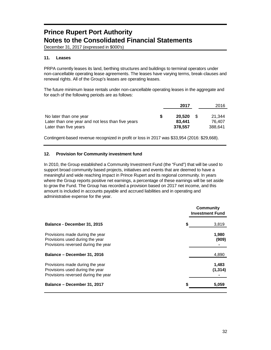December 31, 2017 (expressed in \$000's)

### **11. Leases**

PRPA currently leases its land, berthing structures and buildings to terminal operators under non-cancellable operating lease agreements. The leases have varying terms, break-clauses and renewal rights. All of the Group's leases are operating leases.

The future minimum lease rentals under non-cancellable operating leases in the aggregate and for each of the following periods are as follows:

|                                                                                                     |   | 2017                        | 2016                        |
|-----------------------------------------------------------------------------------------------------|---|-----------------------------|-----------------------------|
| No later than one year<br>Later than one year and not less than five years<br>Later than five years | S | 20.520<br>83.441<br>378.557 | 21.344<br>76.407<br>388.641 |

Contingent-based revenue recognized in profit or loss in 2017 was \$33,954 (2016: \$29,668).

# **12. Provision for Community investment fund**

In 2010, the Group established a Community Investment Fund (the "Fund") that will be used to support broad community based projects, initiatives and events that are deemed to have a meaningful and wide reaching impact in Prince Rupert and its regional community. In years where the Group reports positive net earnings, a percentage of these earnings will be set aside to grow the Fund. The Group has recorded a provision based on 2017 net income, and this amount is included in accounts payable and accrued liabilities and in operating and administrative expense for the year.

|                                                                                                           | Community<br><b>Investment Fund</b> |                   |
|-----------------------------------------------------------------------------------------------------------|-------------------------------------|-------------------|
| Balance - December 31, 2015                                                                               | \$                                  | 3,819             |
| Provisions made during the year<br>Provisions used during the year<br>Provisions reversed during the year |                                     | 1,980<br>(909)    |
| Balance – December 31, 2016                                                                               |                                     | 4,890             |
| Provisions made during the year<br>Provisions used during the year<br>Provisions reversed during the year |                                     | 1,483<br>(1, 314) |
| Balance – December 31, 2017                                                                               |                                     | 5,059             |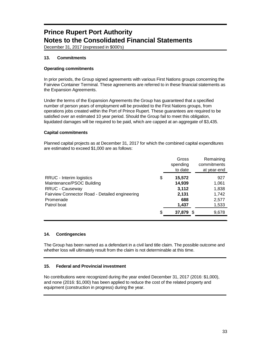December 31, 2017 (expressed in \$000's)

# **13. Commitments**

# **Operating commitments**

In prior periods, the Group signed agreements with various First Nations groups concerning the Fairview Container Terminal. These agreements are referred to in these financial statements as the Expansion Agreements.

Under the terms of the Expansion Agreements the Group has guaranteed that a specified number of person years of employment will be provided to the First Nations groups, from operations jobs created within the Port of Prince Rupert. These guarantees are required to be satisfied over an estimated 10 year period. Should the Group fail to meet this obligation, liquidated damages will be required to be paid, which are capped at an aggregate of \$3,435.

# **Capital commitments**

Planned capital projects as at December 31, 2017 for which the combined capital expenditures are estimated to exceed \$1,000 are as follows:

|                                                             | Gross<br>spending<br>to date | Remaining<br>commitments<br>at year-end |
|-------------------------------------------------------------|------------------------------|-----------------------------------------|
| RRUC - Interim logistics<br>Maintenance/PSOC Building       | \$<br>15,572<br>14,939       | 927<br>1,061                            |
| <b>RRUC - Causeway</b>                                      | 3,112                        | 1,838                                   |
| Fairview Connector Road - Detailed engineering<br>Promenade | 2,131<br>688                 | 1,742<br>2,577                          |
| Patrol boat                                                 | 1,437                        | 1,533                                   |
|                                                             | \$<br>37,879 \$              | 9,678                                   |

# **14. Contingencies**

The Group has been named as a defendant in a civil land title claim. The possible outcome and whether loss will ultimately result from the claim is not determinable at this time.

# **15. Federal and Provincial investment**

No contributions were recognized during the year ended December 31, 2017 (2016: \$1,000), and none (2016: \$1,000) has been applied to reduce the cost of the related property and equipment (construction in progress) during the year.